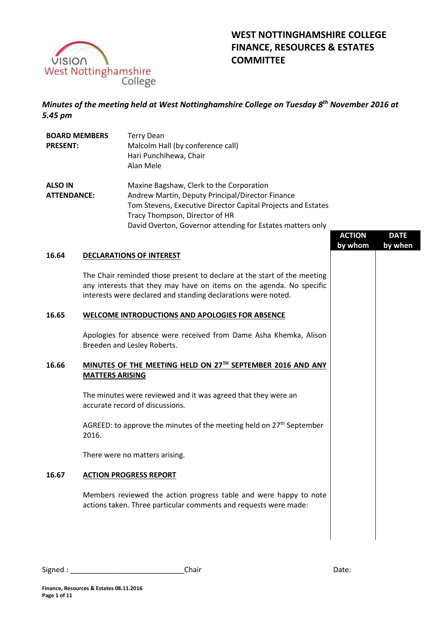

# **WEST NOTTINGHAMSHIRE COLLEGE FINANCE, RESOURCES & ESTATES COMMITTEE**

# *Minutes of the meeting held at West Nottinghamshire College on Tuesday 8th November 2016 at 5.45 pm*

| <b>BOARD MEMBERS</b><br><b>PRESENT:</b> |                        | <b>Terry Dean</b><br>Malcolm Hall (by conference call)<br>Hari Punchihewa, Chair<br>Alan Mele                                                                                                                                                                |               |             |
|-----------------------------------------|------------------------|--------------------------------------------------------------------------------------------------------------------------------------------------------------------------------------------------------------------------------------------------------------|---------------|-------------|
| <b>ALSO IN</b><br><b>ATTENDANCE:</b>    |                        | Maxine Bagshaw, Clerk to the Corporation<br>Andrew Martin, Deputy Principal/Director Finance<br>Tom Stevens, Executive Director Capital Projects and Estates<br>Tracy Thompson, Director of HR<br>David Overton, Governor attending for Estates matters only | <b>ACTION</b> | <b>DATE</b> |
|                                         |                        |                                                                                                                                                                                                                                                              | by whom       | by when     |
| 16.64                                   |                        | <b>DECLARATIONS OF INTEREST</b>                                                                                                                                                                                                                              |               |             |
|                                         |                        | The Chair reminded those present to declare at the start of the meeting<br>any interests that they may have on items on the agenda. No specific<br>interests were declared and standing declarations were noted.                                             |               |             |
| 16.65                                   |                        | WELCOME INTRODUCTIONS AND APOLOGIES FOR ABSENCE                                                                                                                                                                                                              |               |             |
|                                         |                        | Apologies for absence were received from Dame Asha Khemka, Alison<br>Breeden and Lesley Roberts.                                                                                                                                                             |               |             |
| 16.66                                   | <b>MATTERS ARISING</b> | MINUTES OF THE MEETING HELD ON 27TH SEPTEMBER 2016 AND ANY                                                                                                                                                                                                   |               |             |
|                                         |                        | The minutes were reviewed and it was agreed that they were an<br>accurate record of discussions.                                                                                                                                                             |               |             |
|                                         | 2016.                  | AGREED: to approve the minutes of the meeting held on 27 <sup>th</sup> September                                                                                                                                                                             |               |             |
|                                         |                        | There were no matters arising.                                                                                                                                                                                                                               |               |             |
| 16.67                                   |                        | <b>ACTION PROGRESS REPORT</b>                                                                                                                                                                                                                                |               |             |
|                                         |                        | Members reviewed the action progress table and were happy to note<br>actions taken. Three particular comments and requests were made:                                                                                                                        |               |             |
|                                         |                        |                                                                                                                                                                                                                                                              |               |             |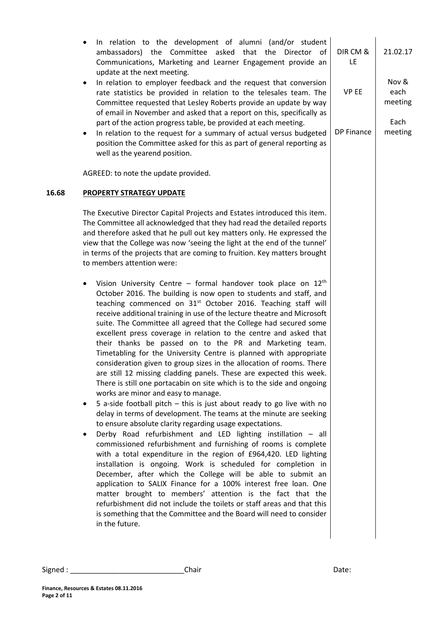| ambassadors) the Committee asked that the<br>update at the next meeting.<br>$\bullet$<br>part of the action progress table, be provided at each meeting. | In relation to the development of alumni (and/or student<br>Director of<br>Communications, Marketing and Learner Engagement provide an<br>In relation to employer feedback and the request that conversion<br>rate statistics be provided in relation to the telesales team. The<br>Committee requested that Lesley Roberts provide an update by way<br>of email in November and asked that a report on this, specifically as                                                                                                                                                                                                                                                                                                                                                                                                                                                                                                                                                                                                                                                                                                                                                                                                                                                                                                                                                                                                                                                                                                                                                                                                                                                                                                                                                                                                                                                                                                                                     | DIR CM &<br>LE<br><b>VP EE</b> | 21.02.17<br>Nov &<br>each<br>meeting<br>Each |
|----------------------------------------------------------------------------------------------------------------------------------------------------------|-------------------------------------------------------------------------------------------------------------------------------------------------------------------------------------------------------------------------------------------------------------------------------------------------------------------------------------------------------------------------------------------------------------------------------------------------------------------------------------------------------------------------------------------------------------------------------------------------------------------------------------------------------------------------------------------------------------------------------------------------------------------------------------------------------------------------------------------------------------------------------------------------------------------------------------------------------------------------------------------------------------------------------------------------------------------------------------------------------------------------------------------------------------------------------------------------------------------------------------------------------------------------------------------------------------------------------------------------------------------------------------------------------------------------------------------------------------------------------------------------------------------------------------------------------------------------------------------------------------------------------------------------------------------------------------------------------------------------------------------------------------------------------------------------------------------------------------------------------------------------------------------------------------------------------------------------------------------|--------------------------------|----------------------------------------------|
| ٠<br>well as the yearend position.                                                                                                                       | In relation to the request for a summary of actual versus budgeted<br>position the Committee asked for this as part of general reporting as                                                                                                                                                                                                                                                                                                                                                                                                                                                                                                                                                                                                                                                                                                                                                                                                                                                                                                                                                                                                                                                                                                                                                                                                                                                                                                                                                                                                                                                                                                                                                                                                                                                                                                                                                                                                                       | <b>DP Finance</b>              | meeting                                      |
| AGREED: to note the update provided.                                                                                                                     |                                                                                                                                                                                                                                                                                                                                                                                                                                                                                                                                                                                                                                                                                                                                                                                                                                                                                                                                                                                                                                                                                                                                                                                                                                                                                                                                                                                                                                                                                                                                                                                                                                                                                                                                                                                                                                                                                                                                                                   |                                |                                              |
| <b>PROPERTY STRATEGY UPDATE</b>                                                                                                                          |                                                                                                                                                                                                                                                                                                                                                                                                                                                                                                                                                                                                                                                                                                                                                                                                                                                                                                                                                                                                                                                                                                                                                                                                                                                                                                                                                                                                                                                                                                                                                                                                                                                                                                                                                                                                                                                                                                                                                                   |                                |                                              |
| to members attention were:<br>works are minor and easy to manage.<br>to ensure absolute clarity regarding usage expectations.<br>in the future.          | The Executive Director Capital Projects and Estates introduced this item.<br>The Committee all acknowledged that they had read the detailed reports<br>and therefore asked that he pull out key matters only. He expressed the<br>view that the College was now 'seeing the light at the end of the tunnel'<br>in terms of the projects that are coming to fruition. Key matters brought<br>Vision University Centre - formal handover took place on $12th$<br>October 2016. The building is now open to students and staff, and<br>teaching commenced on 31 <sup>st</sup> October 2016. Teaching staff will<br>receive additional training in use of the lecture theatre and Microsoft<br>suite. The Committee all agreed that the College had secured some<br>excellent press coverage in relation to the centre and asked that<br>their thanks be passed on to the PR and Marketing team.<br>Timetabling for the University Centre is planned with appropriate<br>consideration given to group sizes in the allocation of rooms. There<br>are still 12 missing cladding panels. These are expected this week.<br>There is still one portacabin on site which is to the side and ongoing<br>5 a-side football pitch $-$ this is just about ready to go live with no<br>delay in terms of development. The teams at the minute are seeking<br>Derby Road refurbishment and LED lighting instillation - all<br>commissioned refurbishment and furnishing of rooms is complete<br>with a total expenditure in the region of £964,420. LED lighting<br>installation is ongoing. Work is scheduled for completion in<br>December, after which the College will be able to submit an<br>application to SALIX Finance for a 100% interest free loan. One<br>matter brought to members' attention is the fact that the<br>refurbishment did not include the toilets or staff areas and that this<br>is something that the Committee and the Board will need to consider |                                |                                              |

**16.68**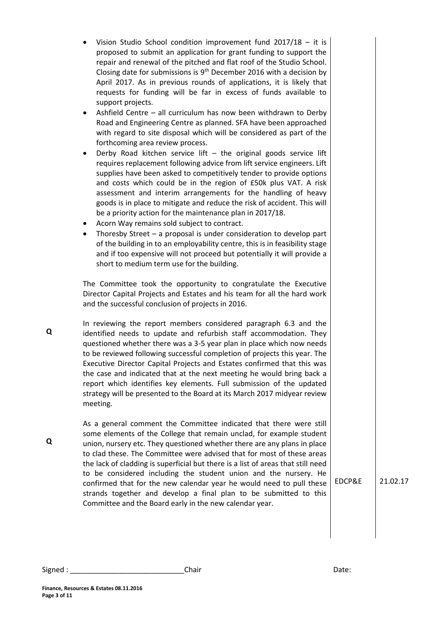| Vision Studio School condition improvement fund $2017/18 - it$ is<br>proposed to submit an application for grant funding to support the<br>repair and renewal of the pitched and flat roof of the Studio School.<br>Closing date for submissions is $9th$ December 2016 with a decision by<br>April 2017. As in previous rounds of applications, it is likely that<br>requests for funding will be far in excess of funds available to<br>support projects.<br>Ashfield Centre - all curriculum has now been withdrawn to Derby<br>Road and Engineering Centre as planned. SFA have been approached<br>with regard to site disposal which will be considered as part of the<br>forthcoming area review process.<br>Derby Road kitchen service lift $-$ the original goods service lift<br>$\bullet$<br>requires replacement following advice from lift service engineers. Lift<br>supplies have been asked to competitively tender to provide options<br>and costs which could be in the region of £50k plus VAT. A risk<br>assessment and interim arrangements for the handling of heavy<br>goods is in place to mitigate and reduce the risk of accident. This will<br>be a priority action for the maintenance plan in 2017/18.<br>Acorn Way remains sold subject to contract.<br>٠<br>Thoresby Street $-$ a proposal is under consideration to develop part<br>$\bullet$<br>of the building in to an employability centre, this is in feasibility stage<br>and if too expensive will not proceed but potentially it will provide a<br>short to medium term use for the building.<br>The Committee took the opportunity to congratulate the Executive<br>Director Capital Projects and Estates and his team for all the hard work<br>and the successful conclusion of projects in 2016. |        |          |
|--------------------------------------------------------------------------------------------------------------------------------------------------------------------------------------------------------------------------------------------------------------------------------------------------------------------------------------------------------------------------------------------------------------------------------------------------------------------------------------------------------------------------------------------------------------------------------------------------------------------------------------------------------------------------------------------------------------------------------------------------------------------------------------------------------------------------------------------------------------------------------------------------------------------------------------------------------------------------------------------------------------------------------------------------------------------------------------------------------------------------------------------------------------------------------------------------------------------------------------------------------------------------------------------------------------------------------------------------------------------------------------------------------------------------------------------------------------------------------------------------------------------------------------------------------------------------------------------------------------------------------------------------------------------------------------------------------------------------------------------------------------------------------------------|--------|----------|
| In reviewing the report members considered paragraph 6.3 and the<br>identified needs to update and refurbish staff accommodation. They<br>questioned whether there was a 3-5 year plan in place which now needs<br>to be reviewed following successful completion of projects this year. The<br>Executive Director Capital Projects and Estates confirmed that this was<br>the case and indicated that at the next meeting he would bring back a<br>report which identifies key elements. Full submission of the updated<br>strategy will be presented to the Board at its March 2017 midyear review<br>meeting.                                                                                                                                                                                                                                                                                                                                                                                                                                                                                                                                                                                                                                                                                                                                                                                                                                                                                                                                                                                                                                                                                                                                                                           |        |          |
| As a general comment the Committee indicated that there were still<br>some elements of the College that remain unclad, for example student<br>union, nursery etc. They questioned whether there are any plans in place<br>to clad these. The Committee were advised that for most of these areas<br>the lack of cladding is superficial but there is a list of areas that still need<br>to be considered including the student union and the nursery. He<br>confirmed that for the new calendar year he would need to pull these<br>strands together and develop a final plan to be submitted to this<br>Committee and the Board early in the new calendar year.                                                                                                                                                                                                                                                                                                                                                                                                                                                                                                                                                                                                                                                                                                                                                                                                                                                                                                                                                                                                                                                                                                                           | EDCP&E | 21.02.17 |

**Finance, Resources & Estates 08.11.2016**

**Page 3 of 11**

**Q**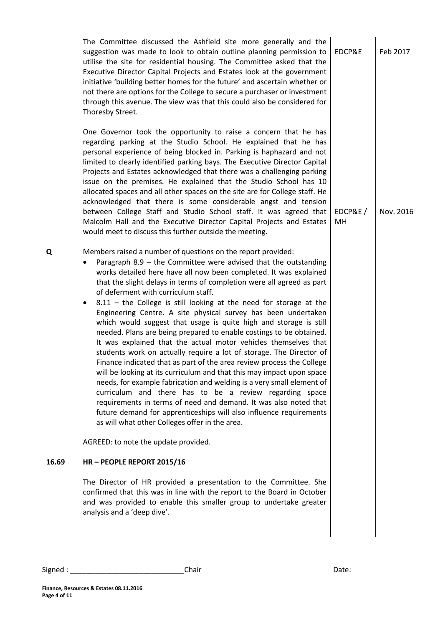|       | The Committee discussed the Ashfield site more generally and the<br>suggestion was made to look to obtain outline planning permission to<br>utilise the site for residential housing. The Committee asked that the<br>Executive Director Capital Projects and Estates look at the government<br>initiative 'building better homes for the future' and ascertain whether or<br>not there are options for the College to secure a purchaser or investment<br>through this avenue. The view was that this could also be considered for<br>Thoresby Street.                                                                                                                                                                                                                                                                                                                                                                                                                                                                                                                                                                                                                                                                                  | EDCP&E        | Feb 2017  |
|-------|------------------------------------------------------------------------------------------------------------------------------------------------------------------------------------------------------------------------------------------------------------------------------------------------------------------------------------------------------------------------------------------------------------------------------------------------------------------------------------------------------------------------------------------------------------------------------------------------------------------------------------------------------------------------------------------------------------------------------------------------------------------------------------------------------------------------------------------------------------------------------------------------------------------------------------------------------------------------------------------------------------------------------------------------------------------------------------------------------------------------------------------------------------------------------------------------------------------------------------------|---------------|-----------|
|       | One Governor took the opportunity to raise a concern that he has<br>regarding parking at the Studio School. He explained that he has<br>personal experience of being blocked in. Parking is haphazard and not<br>limited to clearly identified parking bays. The Executive Director Capital<br>Projects and Estates acknowledged that there was a challenging parking<br>issue on the premises. He explained that the Studio School has 10<br>allocated spaces and all other spaces on the site are for College staff. He<br>acknowledged that there is some considerable angst and tension<br>between College Staff and Studio School staff. It was agreed that<br>Malcolm Hall and the Executive Director Capital Projects and Estates<br>would meet to discuss this further outside the meeting.                                                                                                                                                                                                                                                                                                                                                                                                                                      | EDCP&E/<br>MH | Nov. 2016 |
| Q     | Members raised a number of questions on the report provided:<br>Paragraph $8.9$ – the Committee were advised that the outstanding<br>works detailed here have all now been completed. It was explained<br>that the slight delays in terms of completion were all agreed as part<br>of deferment with curriculum staff.<br>$8.11$ – the College is still looking at the need for storage at the<br>Engineering Centre. A site physical survey has been undertaken<br>which would suggest that usage is quite high and storage is still<br>needed. Plans are being prepared to enable costings to be obtained.<br>It was explained that the actual motor vehicles themselves that<br>students work on actually require a lot of storage. The Director of<br>Finance indicated that as part of the area review process the College<br>will be looking at its curriculum and that this may impact upon space<br>needs, for example fabrication and welding is a very small element of<br>curriculum and there has to be a review regarding space<br>requirements in terms of need and demand. It was also noted that<br>future demand for apprenticeships will also influence requirements<br>as will what other Colleges offer in the area. |               |           |
|       | AGREED: to note the update provided.                                                                                                                                                                                                                                                                                                                                                                                                                                                                                                                                                                                                                                                                                                                                                                                                                                                                                                                                                                                                                                                                                                                                                                                                     |               |           |
| 16.69 | HR-PEOPLE REPORT 2015/16                                                                                                                                                                                                                                                                                                                                                                                                                                                                                                                                                                                                                                                                                                                                                                                                                                                                                                                                                                                                                                                                                                                                                                                                                 |               |           |
|       | The Director of HR provided a presentation to the Committee. She<br>confirmed that this was in line with the report to the Board in October<br>and was provided to enable this smaller group to undertake greater<br>analysis and a 'deep dive'.                                                                                                                                                                                                                                                                                                                                                                                                                                                                                                                                                                                                                                                                                                                                                                                                                                                                                                                                                                                         |               |           |
|       |                                                                                                                                                                                                                                                                                                                                                                                                                                                                                                                                                                                                                                                                                                                                                                                                                                                                                                                                                                                                                                                                                                                                                                                                                                          |               |           |

**Finance, Resources & Estates 08.11.2016**

**Page 4 of 11**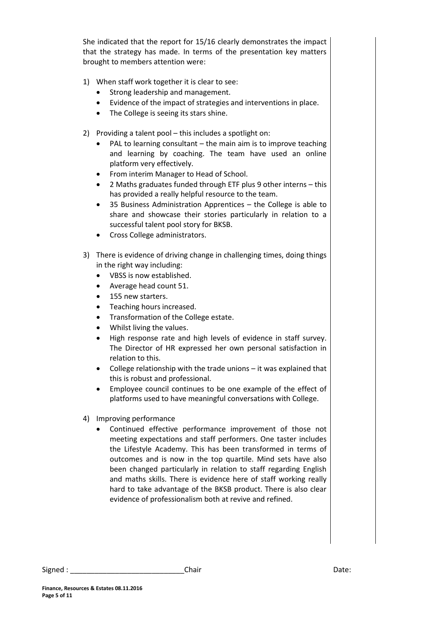She indicated that the report for 15/16 clearly demonstrates the impact that the strategy has made. In terms of the presentation key matters brought to members attention were:

- 1) When staff work together it is clear to see:
	- Strong leadership and management.
	- Evidence of the impact of strategies and interventions in place.
	- The College is seeing its stars shine.
- 2) Providing a talent pool this includes a spotlight on:
	- $\bullet$  PAL to learning consultant the main aim is to improve teaching and learning by coaching. The team have used an online platform very effectively.
	- From interim Manager to Head of School.
	- 2 Maths graduates funded through ETF plus 9 other interns this has provided a really helpful resource to the team.
	- 35 Business Administration Apprentices the College is able to share and showcase their stories particularly in relation to a successful talent pool story for BKSB.
	- Cross College administrators.
- 3) There is evidence of driving change in challenging times, doing things in the right way including:
	- VBSS is now established.
	- Average head count 51.
	- 155 new starters.
	- Teaching hours increased.
	- Transformation of the College estate.
	- Whilst living the values.
	- High response rate and high levels of evidence in staff survey. The Director of HR expressed her own personal satisfaction in relation to this.
	- College relationship with the trade unions it was explained that this is robust and professional.
	- Employee council continues to be one example of the effect of platforms used to have meaningful conversations with College.
- 4) Improving performance
	- Continued effective performance improvement of those not meeting expectations and staff performers. One taster includes the Lifestyle Academy. This has been transformed in terms of outcomes and is now in the top quartile. Mind sets have also been changed particularly in relation to staff regarding English and maths skills. There is evidence here of staff working really hard to take advantage of the BKSB product. There is also clear evidence of professionalism both at revive and refined.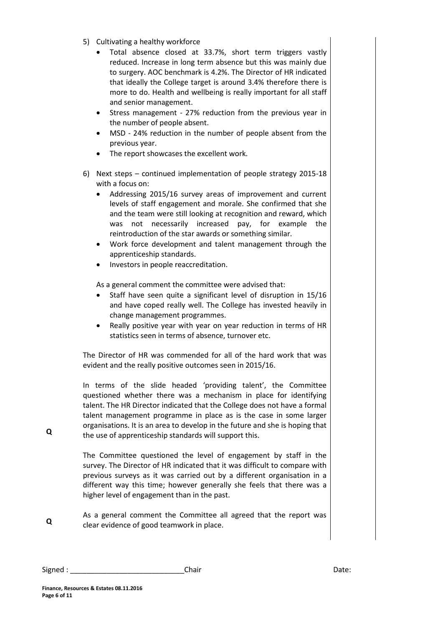- 5) Cultivating a healthy workforce
	- Total absence closed at 33.7%, short term triggers vastly reduced. Increase in long term absence but this was mainly due to surgery. AOC benchmark is 4.2%. The Director of HR indicated that ideally the College target is around 3.4% therefore there is more to do. Health and wellbeing is really important for all staff and senior management.
	- Stress management 27% reduction from the previous year in the number of people absent.
	- MSD 24% reduction in the number of people absent from the previous year.
	- The report showcases the excellent work.
- 6) Next steps continued implementation of people strategy 2015-18 with a focus on:
	- Addressing 2015/16 survey areas of improvement and current levels of staff engagement and morale. She confirmed that she and the team were still looking at recognition and reward, which was not necessarily increased pay, for example the reintroduction of the star awards or something similar.
	- Work force development and talent management through the apprenticeship standards.
	- Investors in people reaccreditation.

As a general comment the committee were advised that:

- Staff have seen quite a significant level of disruption in 15/16 and have coped really well. The College has invested heavily in change management programmes.
- Really positive year with year on year reduction in terms of HR statistics seen in terms of absence, turnover etc.

The Director of HR was commended for all of the hard work that was evident and the really positive outcomes seen in 2015/16.

In terms of the slide headed 'providing talent', the Committee questioned whether there was a mechanism in place for identifying talent. The HR Director indicated that the College does not have a formal talent management programme in place as is the case in some larger organisations. It is an area to develop in the future and she is hoping that the use of apprenticeship standards will support this.

The Committee questioned the level of engagement by staff in the survey. The Director of HR indicated that it was difficult to compare with previous surveys as it was carried out by a different organisation in a different way this time; however generally she feels that there was a higher level of engagement than in the past.

**Q** As a general comment the Committee all agreed that the report was clear evidence of good teamwork in place.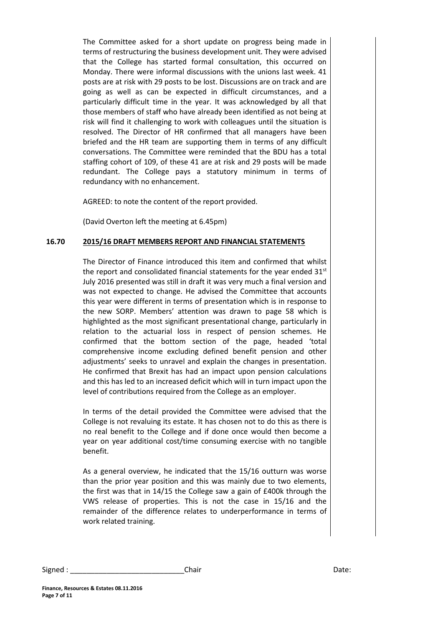The Committee asked for a short update on progress being made in terms of restructuring the business development unit. They were advised that the College has started formal consultation, this occurred on Monday. There were informal discussions with the unions last week. 41 posts are at risk with 29 posts to be lost. Discussions are on track and are going as well as can be expected in difficult circumstances, and a particularly difficult time in the year. It was acknowledged by all that those members of staff who have already been identified as not being at risk will find it challenging to work with colleagues until the situation is resolved. The Director of HR confirmed that all managers have been briefed and the HR team are supporting them in terms of any difficult conversations. The Committee were reminded that the BDU has a total staffing cohort of 109, of these 41 are at risk and 29 posts will be made redundant. The College pays a statutory minimum in terms of redundancy with no enhancement.

AGREED: to note the content of the report provided.

(David Overton left the meeting at 6.45pm)

#### **16.70 2015/16 DRAFT MEMBERS REPORT AND FINANCIAL STATEMENTS**

The Director of Finance introduced this item and confirmed that whilst the report and consolidated financial statements for the year ended 31<sup>st</sup> July 2016 presented was still in draft it was very much a final version and was not expected to change. He advised the Committee that accounts this year were different in terms of presentation which is in response to the new SORP. Members' attention was drawn to page 58 which is highlighted as the most significant presentational change, particularly in relation to the actuarial loss in respect of pension schemes. He confirmed that the bottom section of the page, headed 'total comprehensive income excluding defined benefit pension and other adjustments' seeks to unravel and explain the changes in presentation. He confirmed that Brexit has had an impact upon pension calculations and this has led to an increased deficit which will in turn impact upon the level of contributions required from the College as an employer.

In terms of the detail provided the Committee were advised that the College is not revaluing its estate. It has chosen not to do this as there is no real benefit to the College and if done once would then become a year on year additional cost/time consuming exercise with no tangible benefit.

As a general overview, he indicated that the 15/16 outturn was worse than the prior year position and this was mainly due to two elements, the first was that in 14/15 the College saw a gain of £400k through the VWS release of properties. This is not the case in 15/16 and the remainder of the difference relates to underperformance in terms of work related training.

Signed : \_\_\_\_\_\_\_\_\_\_\_\_\_\_\_\_\_\_\_\_\_\_\_\_\_\_\_\_Chair Date: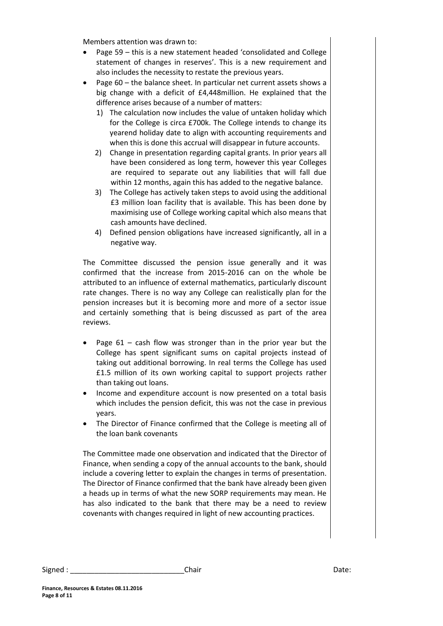Members attention was drawn to:

- Page 59 this is a new statement headed 'consolidated and College statement of changes in reserves'. This is a new requirement and also includes the necessity to restate the previous years.
- Page 60 the balance sheet. In particular net current assets shows a big change with a deficit of £4,448million. He explained that the difference arises because of a number of matters:
	- 1) The calculation now includes the value of untaken holiday which for the College is circa £700k. The College intends to change its yearend holiday date to align with accounting requirements and when this is done this accrual will disappear in future accounts.
	- 2) Change in presentation regarding capital grants. In prior years all have been considered as long term, however this year Colleges are required to separate out any liabilities that will fall due within 12 months, again this has added to the negative balance.
	- 3) The College has actively taken steps to avoid using the additional £3 million loan facility that is available. This has been done by maximising use of College working capital which also means that cash amounts have declined.
	- 4) Defined pension obligations have increased significantly, all in a negative way.

The Committee discussed the pension issue generally and it was confirmed that the increase from 2015-2016 can on the whole be attributed to an influence of external mathematics, particularly discount rate changes. There is no way any College can realistically plan for the pension increases but it is becoming more and more of a sector issue and certainly something that is being discussed as part of the area reviews.

- Page 61 cash flow was stronger than in the prior year but the College has spent significant sums on capital projects instead of taking out additional borrowing. In real terms the College has used £1.5 million of its own working capital to support projects rather than taking out loans.
- Income and expenditure account is now presented on a total basis which includes the pension deficit, this was not the case in previous years.
- The Director of Finance confirmed that the College is meeting all of the loan bank covenants

The Committee made one observation and indicated that the Director of Finance, when sending a copy of the annual accounts to the bank, should include a covering letter to explain the changes in terms of presentation. The Director of Finance confirmed that the bank have already been given a heads up in terms of what the new SORP requirements may mean. He has also indicated to the bank that there may be a need to review covenants with changes required in light of new accounting practices.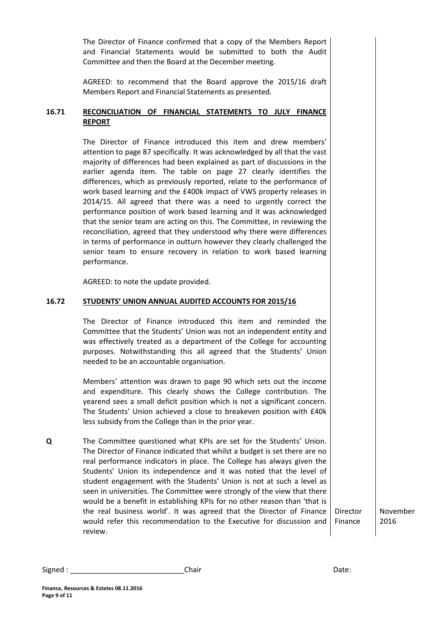The Director of Finance confirmed that a copy of the Members Report and Financial Statements would be submitted to both the Audit Committee and then the Board at the December meeting.

AGREED: to recommend that the Board approve the 2015/16 draft Members Report and Financial Statements as presented.

# **16.71 RECONCILIATION OF FINANCIAL STATEMENTS TO JULY FINANCE REPORT**

The Director of Finance introduced this item and drew members' attention to page 87 specifically. It was acknowledged by all that the vast majority of differences had been explained as part of discussions in the earlier agenda item. The table on page 27 clearly identifies the differences, which as previously reported, relate to the performance of work based learning and the £400k impact of VWS property releases in 2014/15. All agreed that there was a need to urgently correct the performance position of work based learning and it was acknowledged that the senior team are acting on this. The Committee, in reviewing the reconciliation, agreed that they understood why there were differences in terms of performance in outturn however they clearly challenged the senior team to ensure recovery in relation to work based learning performance.

AGREED: to note the update provided.

#### **16.72 STUDENTS' UNION ANNUAL AUDITED ACCOUNTS FOR 2015/16**

The Director of Finance introduced this item and reminded the Committee that the Students' Union was not an independent entity and was effectively treated as a department of the College for accounting purposes. Notwithstanding this all agreed that the Students' Union needed to be an accountable organisation.

Members' attention was drawn to page 90 which sets out the income and expenditure. This clearly shows the College contribution. The yearend sees a small deficit position which is not a significant concern. The Students' Union achieved a close to breakeven position with £40k less subsidy from the College than in the prior year.

**Q** The Committee questioned what KPIs are set for the Students' Union. The Director of Finance indicated that whilst a budget is set there are no real performance indicators in place. The College has always given the Students' Union its independence and it was noted that the level of student engagement with the Students' Union is not at such a level as seen in universities. The Committee were strongly of the view that there would be a benefit in establishing KPIs for no other reason than 'that is the real business world'. It was agreed that the Director of Finance would refer this recommendation to the Executive for discussion and review.

November 2016

Director Finance

Signed : \_\_\_\_\_\_\_\_\_\_\_\_\_\_\_\_\_\_\_\_\_\_\_\_\_\_\_\_Chair Date: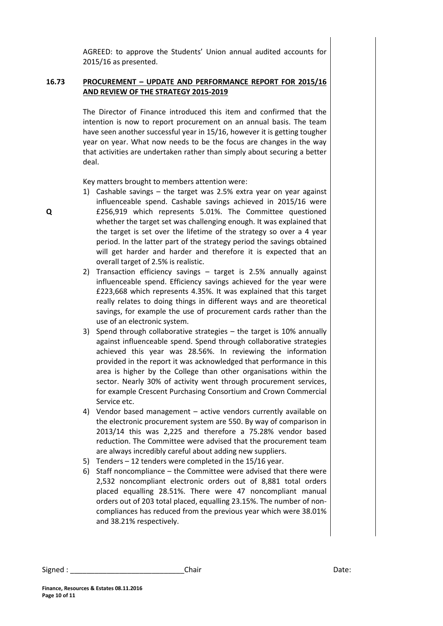AGREED: to approve the Students' Union annual audited accounts for 2015/16 as presented.

# **16.73 PROCUREMENT – UPDATE AND PERFORMANCE REPORT FOR 2015/16 AND REVIEW OF THE STRATEGY 2015-2019**

The Director of Finance introduced this item and confirmed that the intention is now to report procurement on an annual basis. The team have seen another successful year in 15/16, however it is getting tougher year on year. What now needs to be the focus are changes in the way that activities are undertaken rather than simply about securing a better deal.

Key matters brought to members attention were:

- 1) Cashable savings the target was 2.5% extra year on year against influenceable spend. Cashable savings achieved in 2015/16 were £256,919 which represents 5.01%. The Committee questioned whether the target set was challenging enough. It was explained that the target is set over the lifetime of the strategy so over a 4 year period. In the latter part of the strategy period the savings obtained will get harder and harder and therefore it is expected that an overall target of 2.5% is realistic.
- 2) Transaction efficiency savings target is 2.5% annually against influenceable spend. Efficiency savings achieved for the year were £223,668 which represents 4.35%. It was explained that this target really relates to doing things in different ways and are theoretical savings, for example the use of procurement cards rather than the use of an electronic system.
- 3) Spend through collaborative strategies the target is 10% annually against influenceable spend. Spend through collaborative strategies achieved this year was 28.56%. In reviewing the information provided in the report it was acknowledged that performance in this area is higher by the College than other organisations within the sector. Nearly 30% of activity went through procurement services, for example Crescent Purchasing Consortium and Crown Commercial Service etc.
- 4) Vendor based management active vendors currently available on the electronic procurement system are 550. By way of comparison in 2013/14 this was 2,225 and therefore a 75.28% vendor based reduction. The Committee were advised that the procurement team are always incredibly careful about adding new suppliers.
- 5) Tenders 12 tenders were completed in the 15/16 year.
- 6) Staff noncompliance the Committee were advised that there were 2,532 noncompliant electronic orders out of 8,881 total orders placed equalling 28.51%. There were 47 noncompliant manual orders out of 203 total placed, equalling 23.15%. The number of noncompliances has reduced from the previous year which were 38.01% and 38.21% respectively.

Signed : \_\_\_\_\_\_\_\_\_\_\_\_\_\_\_\_\_\_\_\_\_\_\_\_\_\_\_\_\_\_\_\_\_Chair \_\_\_\_\_\_\_\_\_\_\_\_\_\_\_\_\_\_\_\_\_\_\_\_\_\_\_\_\_\_\_\_Date: